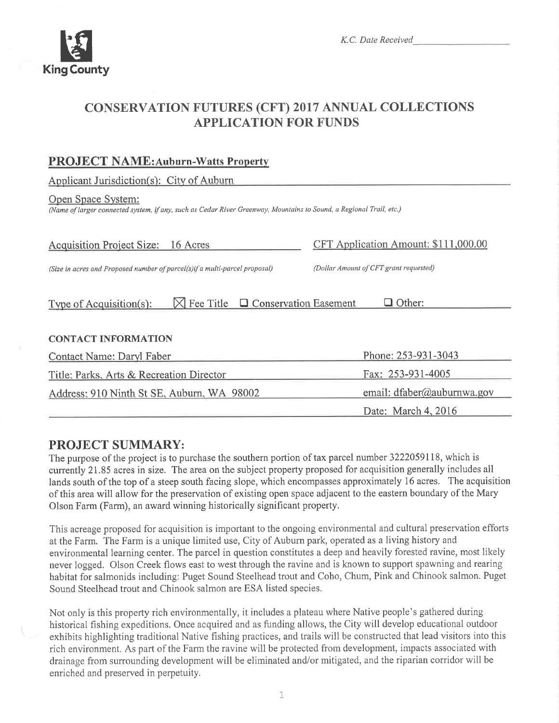

# **CONSERVATION FUTURES (CFT) 2017 ANNUAL COLLECTIONS APPLICATION FOR FUNDS**

# **PROJECT NAME:Auburn-Watts Property**

Applicant Jurisdiction(s): City of Auburn

#### Open Space System:

(Name of larger connected system, if any, such as Cedar River Greenway, Mountains to Sound, a Regional Trail, etc.)

| <b>Acquisition Project Size:</b><br>16 Acres                                  | CFT Application Amount: \$111,000.00   |
|-------------------------------------------------------------------------------|----------------------------------------|
| (Size in acres and Proposed number of parcel(s)if a multi-parcel proposal)    | (Dollar Amount of CFT grant requested) |
| $\boxtimes$ Fee Title $\Box$ Conservation Easement<br>Type of Acquisition(s): | Other:                                 |
| <b>CONTACT INFORMATION</b>                                                    |                                        |
| Contact Name: Daryl Faber                                                     | Phone: 253-931-3043                    |
| Title: Parks, Arts & Recreation Director                                      | Fax: 253-931-4005                      |
| Address: 910 Ninth St SE, Auburn, WA 98002                                    | email: dfaber@auburnwa.gov             |
|                                                                               | Date: March 4, 2016                    |

# **PROJECT SUMMARY:**

The purpose of the project is to purchase the southern portion of tax parcel number 3222059118, which is currently 21.85 acres in size. The area on the subject property proposed for acquisition generally includes all lands south of the top of a steep south facing slope, which encompasses approximately 16 acres. The acquisition of this area will allow for the preservation of existing open space adjacent to the eastern boundary of the Mary Olson Farm (Farm), an award winning historically significant property.

This acreage proposed for acquisition is important to the ongoing environmental and cultural preservation efforts at the Farm. The Farm is a unique limited use, City of Auburn park, operated as a living history and environmental learning center. The parcel in question constitutes a deep and heavily forested ravine, most likely never logged. Olson Creek flows east to west through the ravine and is known to support spawning and rearing habitat for salmonids including: Puget Sound Steelhead trout and Coho, Chum, Pink and Chinook salmon. Puget Sound Steelhead trout and Chinook salmon are ESA listed species.

Not only is this property rich environmentally, it includes a plateau where Native people's gathered during historical fishing expeditions. Once acquired and as funding allows, the City will develop educational outdoor exhibits highlighting traditional Native fishing practices, and trails will be constructed that lead visitors into this rich environment. As part of the Farm the ravine will be protected from development, impacts associated with drainage from surrounding development will be eliminated and/or mitigated, and the riparian corridor will be enriched and preserved in perpetuity.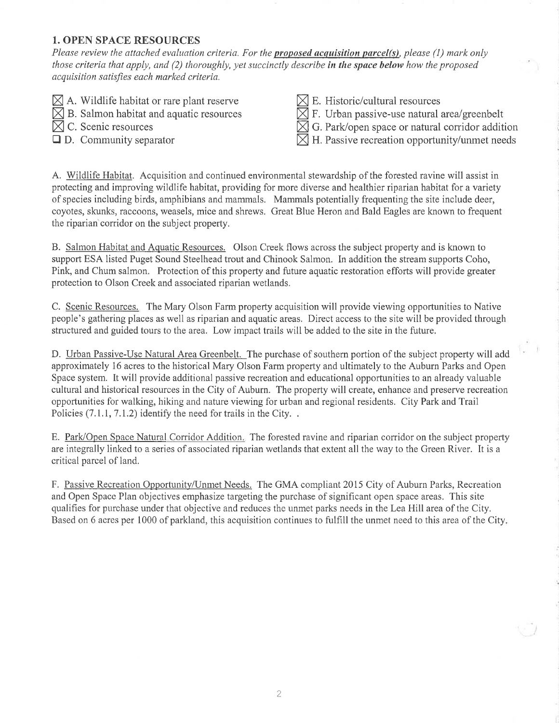## 1. OPEN SPACE RESOURCES

Please review the attached evaluation criteria. For the **proposed acquisition parcel(s)**, please (1) mark only those criteria that apply, and (2) thoroughly, yet succinctly describe in the space below how the proposed acquisition satisfies each marked criteria.

- $\boxtimes$  A. Wildlife habitat or rare plant reserve
- $\boxtimes$  B. Salmon habitat and aquatic resources

 $\overline{\boxtimes}$  C. Scenic resources

 $\Box$  D. Community separator

- $\boxtimes$  E. Historic/cultural resources
- $\sqrt{\frac{1}{2}}$  F. Urban passive-use natural area/greenbelt
- $\boxtimes$  F. Orban passive-use natural area greenbent<br> $\boxtimes$  G. Park/open space or natural corridor addition
- $\boxtimes$  H. Passive recreation opportunity/unmet needs

A. Wildlife Habitat. Acquisition and continued environmental stewardship of the forested ravine will assist in protecting and improving wildlife habitat, providing for more diverse and healthier riparian habitat for a variety of species including birds, amphibians and mammals. Mammals potentially frequenting the site include deer, coyotes, skunks, raccoons, weasels, mice and shrews. Great Blue Heron and Bald Eagles are known to frequent the riparian corridor on the subject property.

B. Salmon Habitat and Aquatic Resources. Olson Creek flows across the subject property and is known to support ESA listed Puget Sound Steelhead trout and Chinook Salmon. In addition the stream supports Coho, Pink, and Chum salmon, Protection of this property and future aquatic restoration efforts will provide greater protection to Olson Creek and associated riparian wetlands.

C. Scenic Resources. The Mary Olson Farm property acquisition will provide viewing opportunities to Native people's gathering places as well as riparian and aquatic areas. Direct access to the site will be provided through stmctured and guided tours to the area. Low impact trails will be added to the site in the future,

D. Urban Passive-Use Natural Area Greenbelt. The purchase of southern portion of the subject property will add approximately l6 acres to the historical Mary Olson Farm property and ultimately to the Auburn Parks and Open Space system. It will provide additional passive recreation and educational opportunities to an already valuable cultural and historical resources in the City of Auburn. The property will create, enhance and preserve recreation opportunities for walking, hiking and nafure viewing for urban and regional residents. City Park and Trail Policies  $(7.1.1, 7.1.2)$  identify the need for trails in the City...

E. Park/Open Space Natural Corridor Addition. The forested ravine and riparian corridor on the subject property are integrally linked to a series of associated riparian wetlands that extent all the way to the Green River. It is a criticaI parcel of land.

F. Passive Recreation Opportunity/Unmet Needs. The GMA compliant 2015 City of Auburn Parks, Recreation and Open Space Plan objectives emphasize targeting the purchase of significant open space areas. This site qualifres for purchase under that objective and reduces the unmet parks needs in the Lea Hill area of the City. Based on 6 acres per 1000 of parkland, this acquisition continues to fulfrll the unmet need to this area of the City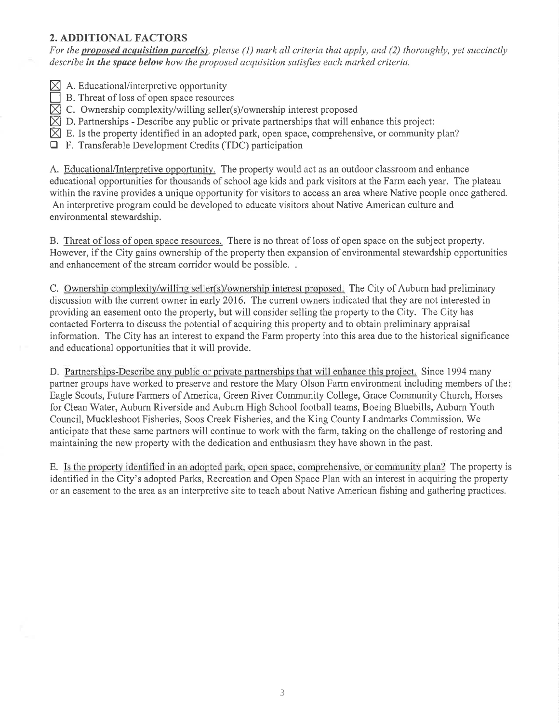## 2. ADDITIONAL FACTORS

For the proposed acquisition parcel(s), please (1) mark all criteria that apply, and (2) thoroughly, yet succinctly describe in the space below how the proposed acquisition satisfies each marked criteria.

- $\boxtimes$  A. Educational/interpretive opportunity
- B. Threat of loss of open space resources
- $\boxtimes$  C. Ownership complexity/willing seller(s)/ownership interest proposed
- $\boxtimes$  D. Partnerships Describe any public or private partnerships that will enhance this project:
- $\boxtimes$  E. Is the property identified in an adopted park, open space, comprehensive, or community plan?
- $\Box$  F. Transferable Development Credits (TDC) participation

A. Educational/Interpretive opporfunity. The property would act as an outdoor classroom and enhance educational opportunities for thousands of school age kids and park visitors at the Farm each year, The plateau within the ravine provides a unique opportunity for visitors to access an area where Native people once gathered. An interpretive program could be developed to educate visitors about Native American culture and environmental stewardship.

B. Threat of loss of open space resources. There is no threat of loss of open space on the subject property. However, if the City gains ownership of the property then expansion of environmental stewardship opporlunities and enhancement of the stream corridor would be possible.

C. Ownership complexity/willing seller(s)/ownership interest proposed. The City of Auburn had preliminary discussion with the current owner in early 2016. The current owners indicated that they are not interested in providing an easement onto the property, but will consider selling the property to the City. The City has contacted Forterra to discuss the potential of acquiring this property and to obtain preliminary appraisal information. The City has an interest to expand the Farm property into this area due to the historical significance and educational opportunities that it will provide.

D. Partnerships-Describe any public or private partnerships that will enhance this project. Since 1994 many partner groups have worked to preserve and restore the Mary Olson Farm environment including members of the Eagle Scouts, Future Farmers of America, Green River Community College, Grace Community Church, Horses for Clean Water, Auburn Riverside and Auburn High School football teams, Boeing Bluebills, Auburn Youth Council, Muckleshoot Fisheries, Soos Creek Fisheries, and the King County Landmarks Commission. We anticipate that these same partners will continue to work with the farm, taking on the challenge of restoring and maintaining the new property with the dedication and enthusiasm they have shown in the past.

E. Is the property identified in an adopted park, open space, comprehensive, or community plan? The property is identified in the City's adopted Parks, Recreation and Open Space Plan with an interest in acquiring the property or an easement to the area as an interpretive site to teach about Native American fishing and gathering practices.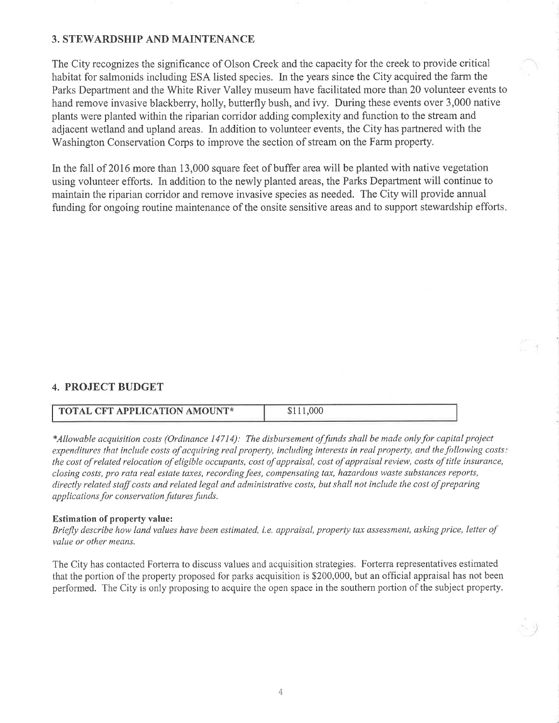#### 3. STEWARDSHIP AND MAINTENANCE

The City recognizes the significance of Olson Creek and the capacity for the creek to provide critical habitat for salmonids including ESA listed species. In the years since the City acquired the farm the Parks Department and the White River Valley museum have facilitated more than20 volunteer events to hand remove invasive blackberry, holly, butterfly bush, and ivy. During these events over 3,000 native plants were planted within the riparian corridor adding complexity and function to the stream and adjacent wetland and upland areas. In addition to volunteer events, the City has partnered with the Washington Conservation Corps to improve the section of stream on the Farm property.

In the fall of 2016 more than 13,000 square feet of buffer area will be planted with native vegetation using volunteer efforts. In addition to the newly planted areas, the Parks Department will continue to maintain the riparian corridor and remove invasive species as needed. The City will provide annual funding for ongoing routine maintenance of the onsite sensitive areas and to support stewardship efforts

### 4. PROJECT BUDGET

| <b>TOTAL CFT APPLICATION AMOUNT*</b> | .006 |
|--------------------------------------|------|
|                                      |      |

\*Allowable acquisition costs (Ordinance 14714): The disbursement offunds shall be made onlyfor capital project expenditures that include costs of acquiring real property, including interests in real property, and the following costs: the cost of related relocation of eligible occupants, cost of appraisal, cost of appraisal review, costs of title insurance, closing costs, pro rata real estate taxes, recording fees, compensating tax, hazardous waste substances reports, directly related staff costs and related legal and administrative costs, but shall not include the cost of preparing applications for conservation futures funds.

#### Estimation of property value:

Briefly describe how land values have been estimated, i.e. appraisal, property tax assessment, asking price, letter of value or other means.

The City has contacted Forterra to discuss values and acquisition strategies. Forterra representatives estimated that the portion ofthe property proposed for parks acquisition is \$200,000, but an official appraisal has not been performed. The City is only proposing to acquire the open space in the southern portion of the subject property.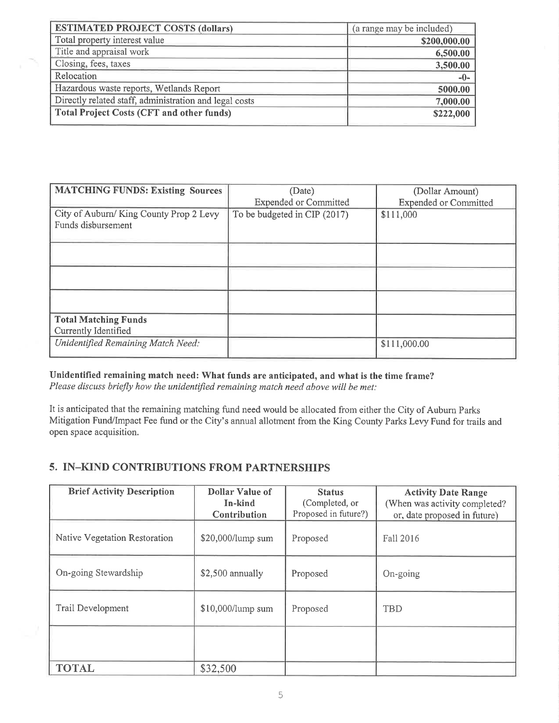| <b>ESTIMATED PROJECT COSTS (dollars)</b>               | (a range may be included) |
|--------------------------------------------------------|---------------------------|
| Total property interest value                          | \$200,000.00              |
| Title and appraisal work                               | 6,500.00                  |
| Closing, fees, taxes                                   | 3,500.00                  |
| Relocation                                             | $-0-$                     |
| Hazardous waste reports, Wetlands Report               | 5000.00                   |
| Directly related staff, administration and legal costs | 7,000.00                  |
| <b>Total Project Costs (CFT and other funds)</b>       | \$222,000                 |

| <b>MATCHING FUNDS: Existing Sources</b>                      | (Date)                       | (Dollar Amount)              |
|--------------------------------------------------------------|------------------------------|------------------------------|
|                                                              | <b>Expended or Committed</b> | <b>Expended or Committed</b> |
| City of Auburn/King County Prop 2 Levy<br>Funds disbursement | To be budgeted in CIP (2017) | \$111,000                    |
|                                                              |                              |                              |
|                                                              |                              |                              |
|                                                              |                              |                              |
| <b>Total Matching Funds</b>                                  |                              |                              |
| Currently Identified                                         |                              |                              |
| Unidentified Remaining Match Need:                           |                              | \$111,000.00                 |

Unidentified remaining match need: What funds are anticipated, and what is the time frame? Please discuss briefly how the unidentified remaining match need above will be met:

It is anticipated that the remaining matching fund need would be allocated from either the City of Aubum Parks Mitigation Fund/Impact Fee fund or the City's annual allotment from the King County Parks Levy Fund for trails and open space acquisition.

## 5. IN-KIND CONTRIBUTIONS FROM PARTNERSHIPS

| <b>Brief Activity Description</b> | <b>Dollar Value of</b><br>In-kind<br>Contribution | <b>Status</b><br>(Completed, or<br>Proposed in future?) | <b>Activity Date Range</b><br>(When was activity completed?<br>or, date proposed in future) |
|-----------------------------------|---------------------------------------------------|---------------------------------------------------------|---------------------------------------------------------------------------------------------|
| Native Vegetation Restoration     | \$20,000/lump sum                                 | Proposed                                                | Fall 2016                                                                                   |
| On-going Stewardship              | \$2,500 annually                                  | Proposed                                                | On-going                                                                                    |
| Trail Development                 | \$10,000/lump sum                                 | Proposed                                                | <b>TBD</b>                                                                                  |
|                                   |                                                   |                                                         |                                                                                             |
| <b>TOTAL</b>                      | \$32,500                                          |                                                         |                                                                                             |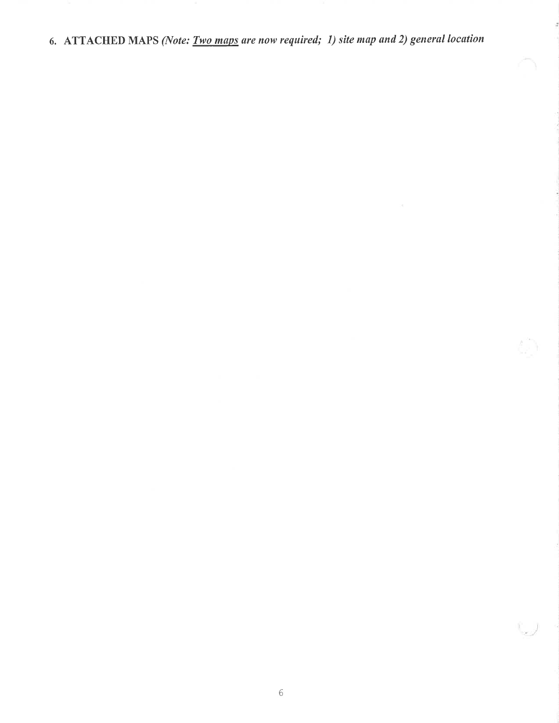6. ATTACHED MAPS (Note: *Two maps are now required; 1) site map and 2) general location* 

Ö

 $\int_{\mathbb{R}^d}$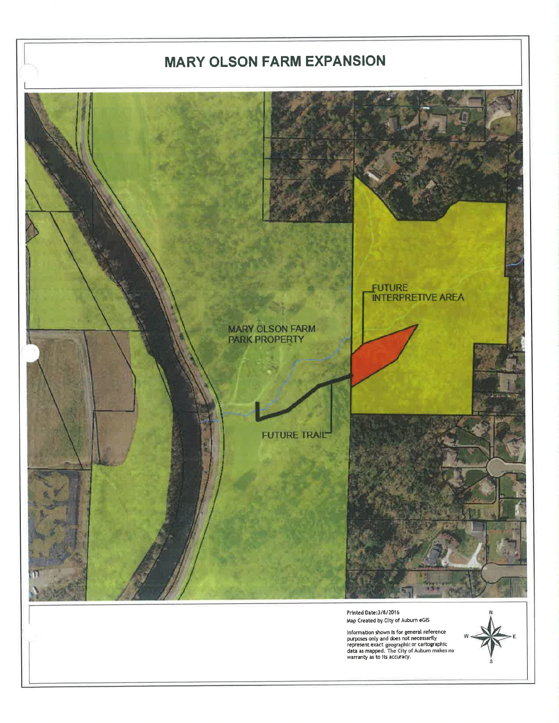# **MARY OLSON FARM EXPANSION**



Map Created by City of Auburn eGIS

Information shown is for general reference<br>purposes only and does not necessarily<br>represent exact geographic or cartographic<br>data as mapped. The City of Auburn makes no<br>warranty as to its accuracy.

![](_page_6_Picture_4.jpeg)